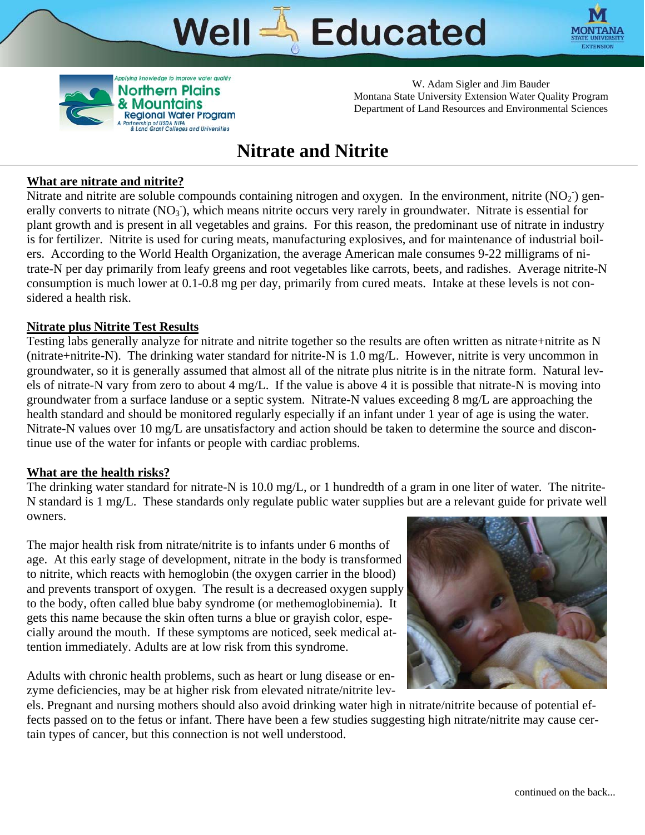# Educated **Well**





W. Adam Sigler and Jim Bauder Montana State University Extension Water Quality Program Department of Land Resources and Environmental Sciences

## **Nitrate and Nitrite**

## **What are nitrate and nitrite?**

Nitrate and nitrite are soluble compounds containing nitrogen and oxygen. In the environment, nitrite  $(NO<sub>2</sub>)$  generally converts to nitrate  $(NO<sub>3</sub>)$ , which means nitrite occurs very rarely in groundwater. Nitrate is essential for plant growth and is present in all vegetables and grains. For this reason, the predominant use of nitrate in industry is for fertilizer. Nitrite is used for curing meats, manufacturing explosives, and for maintenance of industrial boilers. According to the World Health Organization, the average American male consumes 9-22 milligrams of nitrate-N per day primarily from leafy greens and root vegetables like carrots, beets, and radishes. Average nitrite-N consumption is much lower at 0.1-0.8 mg per day, primarily from cured meats. Intake at these levels is not considered a health risk.

## **Nitrate plus Nitrite Test Results**

Testing labs generally analyze for nitrate and nitrite together so the results are often written as nitrate+nitrite as N (nitrate+nitrite-N). The drinking water standard for nitrite-N is 1.0 mg/L. However, nitrite is very uncommon in groundwater, so it is generally assumed that almost all of the nitrate plus nitrite is in the nitrate form. Natural levels of nitrate-N vary from zero to about 4 mg/L. If the value is above 4 it is possible that nitrate-N is moving into groundwater from a surface landuse or a septic system. Nitrate-N values exceeding 8 mg/L are approaching the health standard and should be monitored regularly especially if an infant under 1 year of age is using the water. Nitrate-N values over 10 mg/L are unsatisfactory and action should be taken to determine the source and discontinue use of the water for infants or people with cardiac problems.

### **What are the health risks?**

The drinking water standard for nitrate-N is 10.0 mg/L, or 1 hundredth of a gram in one liter of water. The nitrite-N standard is 1 mg/L. These standards only regulate public water supplies but are a relevant guide for private well owners.

The major health risk from nitrate/nitrite is to infants under 6 months of age. At this early stage of development, nitrate in the body is transformed to nitrite, which reacts with hemoglobin (the oxygen carrier in the blood) and prevents transport of oxygen. The result is a decreased oxygen supply to the body, often called blue baby syndrome (or methemoglobinemia). It gets this name because the skin often turns a blue or grayish color, especially around the mouth. If these symptoms are noticed, seek medical attention immediately. Adults are at low risk from this syndrome.

Adults with chronic health problems, such as heart or lung disease or enzyme deficiencies, may be at higher risk from elevated nitrate/nitrite lev-



els. Pregnant and nursing mothers should also avoid drinking water high in nitrate/nitrite because of potential effects passed on to the fetus or infant. There have been a few studies suggesting high nitrate/nitrite may cause certain types of cancer, but this connection is not well understood.